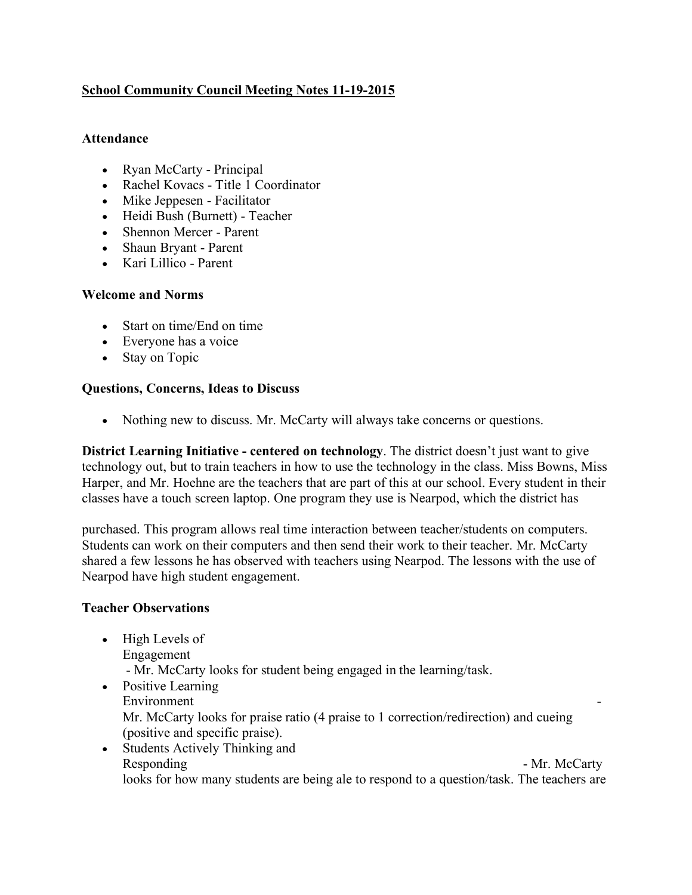# **School Community Council Meeting Notes 11-19-2015**

### **Attendance**

- Ryan McCarty Principal
- Rachel Kovacs Title 1 Coordinator
- Mike Jeppesen Facilitator
- Heidi Bush (Burnett) Teacher
- Shennon Mercer Parent
- Shaun Bryant Parent
- Kari Lillico Parent

## **Welcome and Norms**

- Start on time/End on time
- Everyone has a voice
- Stay on Topic

## **Questions, Concerns, Ideas to Discuss**

• Nothing new to discuss. Mr. McCarty will always take concerns or questions.

**District Learning Initiative - centered on technology**. The district doesn't just want to give technology out, but to train teachers in how to use the technology in the class. Miss Bowns, Miss Harper, and Mr. Hoehne are the teachers that are part of this at our school. Every student in their classes have a touch screen laptop. One program they use is Nearpod, which the district has

purchased. This program allows real time interaction between teacher/students on computers. Students can work on their computers and then send their work to their teacher. Mr. McCarty shared a few lessons he has observed with teachers using Nearpod. The lessons with the use of Nearpod have high student engagement.

## **Teacher Observations**

- High Levels of Engagement - Mr. McCarty looks for student being engaged in the learning/task.
- Positive Learning Environment Mr. McCarty looks for praise ratio (4 praise to 1 correction/redirection) and cueing (positive and specific praise).
- Students Actively Thinking and Responding - Mr. McCarty looks for how many students are being ale to respond to a question/task. The teachers are